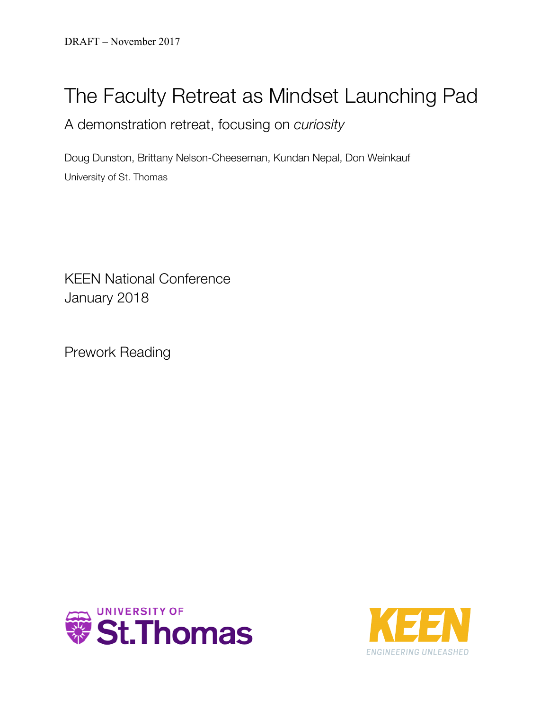## The Faculty Retreat as Mindset Launching Pad

A demonstration retreat, focusing on *curiosity*

Doug Dunston, Brittany Nelson-Cheeseman, Kundan Nepal, Don Weinkauf University of St. Thomas

KEEN National Conference January 2018

Prework Reading



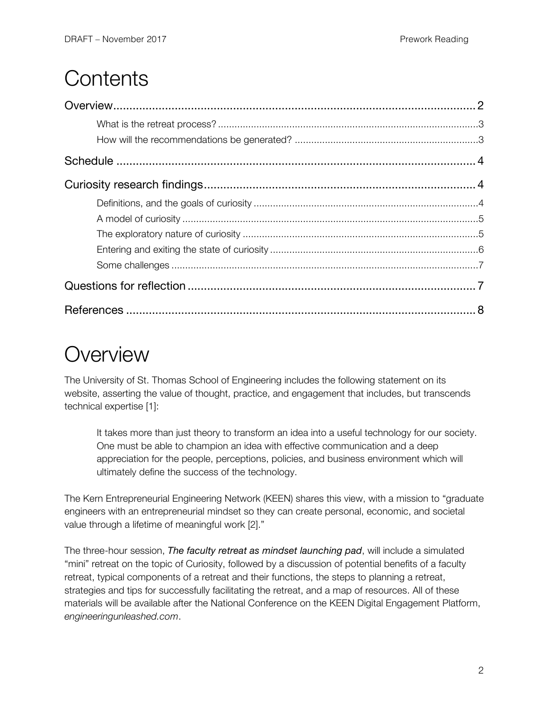## **Contents**

# **Overview**

The University of St. Thomas School of Engineering includes the following statement on its website, asserting the value of thought, practice, and engagement that includes, but transcends technical expertise [1]:

It takes more than just theory to transform an idea into a useful technology for our society. One must be able to champion an idea with effective communication and a deep appreciation for the people, perceptions, policies, and business environment which will ultimately define the success of the technology.

The Kern Entrepreneurial Engineering Network (KEEN) shares this view, with a mission to "graduate engineers with an entrepreneurial mindset so they can create personal, economic, and societal value through a lifetime of meaningful work [2]."

The three-hour session, *The faculty retreat as mindset launching pad*, will include a simulated "mini" retreat on the topic of Curiosity, followed by a discussion of potential benefits of a faculty retreat, typical components of a retreat and their functions, the steps to planning a retreat, strategies and tips for successfully facilitating the retreat, and a map of resources. All of these materials will be available after the National Conference on the KEEN Digital Engagement Platform, *engineeringunleashed.com*.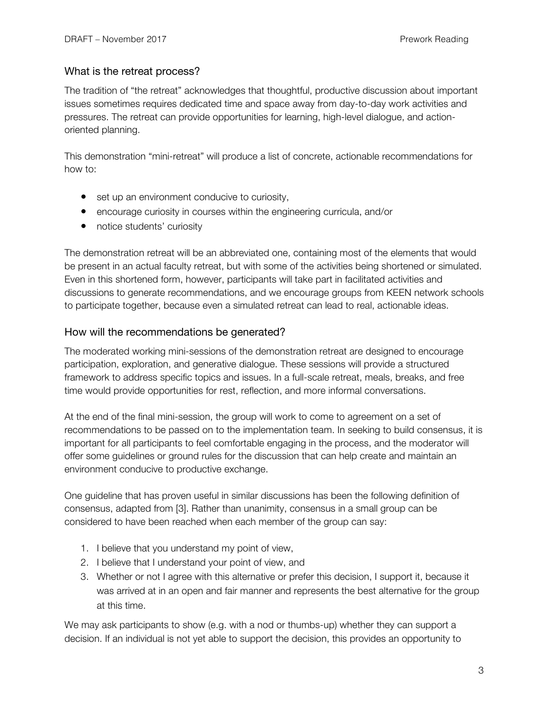#### What is the retreat process?

The tradition of "the retreat" acknowledges that thoughtful, productive discussion about important issues sometimes requires dedicated time and space away from day-to-day work activities and pressures. The retreat can provide opportunities for learning, high-level dialogue, and actionoriented planning.

This demonstration "mini-retreat" will produce a list of concrete, actionable recommendations for how to:

- set up an environment conducive to curiosity,
- encourage curiosity in courses within the engineering curricula, and/or
- notice students' curiosity

The demonstration retreat will be an abbreviated one, containing most of the elements that would be present in an actual faculty retreat, but with some of the activities being shortened or simulated. Even in this shortened form, however, participants will take part in facilitated activities and discussions to generate recommendations, and we encourage groups from KEEN network schools to participate together, because even a simulated retreat can lead to real, actionable ideas.

#### How will the recommendations be generated?

The moderated working mini-sessions of the demonstration retreat are designed to encourage participation, exploration, and generative dialogue. These sessions will provide a structured framework to address specific topics and issues. In a full-scale retreat, meals, breaks, and free time would provide opportunities for rest, reflection, and more informal conversations.

At the end of the final mini-session, the group will work to come to agreement on a set of recommendations to be passed on to the implementation team. In seeking to build consensus, it is important for all participants to feel comfortable engaging in the process, and the moderator will offer some guidelines or ground rules for the discussion that can help create and maintain an environment conducive to productive exchange.

One guideline that has proven useful in similar discussions has been the following definition of consensus, adapted from [3]. Rather than unanimity, consensus in a small group can be considered to have been reached when each member of the group can say:

- 1. I believe that you understand my point of view,
- 2. I believe that I understand your point of view, and
- 3. Whether or not I agree with this alternative or prefer this decision, I support it, because it was arrived at in an open and fair manner and represents the best alternative for the group at this time.

We may ask participants to show (e.g. with a nod or thumbs-up) whether they can support a decision. If an individual is not yet able to support the decision, this provides an opportunity to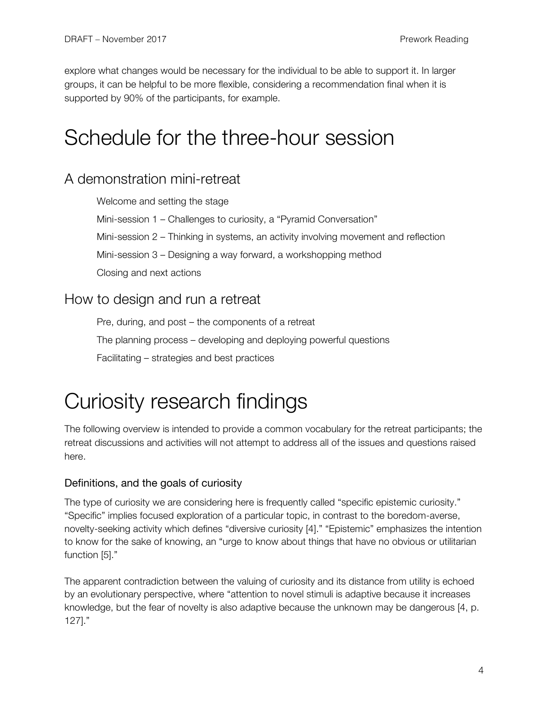explore what changes would be necessary for the individual to be able to support it. In larger groups, it can be helpful to be more flexible, considering a recommendation final when it is supported by 90% of the participants, for example.

### Schedule for the three-hour session

### A demonstration mini-retreat

Welcome and setting the stage

Mini-session 1 – Challenges to curiosity, a "Pyramid Conversation"

Mini-session 2 – Thinking in systems, an activity involving movement and reflection

Mini-session 3 – Designing a way forward, a workshopping method

Closing and next actions

### How to design and run a retreat

Pre, during, and post – the components of a retreat The planning process – developing and deploying powerful questions Facilitating – strategies and best practices

# Curiosity research findings

The following overview is intended to provide a common vocabulary for the retreat participants; the retreat discussions and activities will not attempt to address all of the issues and questions raised here.

### Definitions, and the goals of curiosity

The type of curiosity we are considering here is frequently called "specific epistemic curiosity." "Specific" implies focused exploration of a particular topic, in contrast to the boredom-averse, novelty-seeking activity which defines "diversive curiosity [4]." "Epistemic" emphasizes the intention to know for the sake of knowing, an "urge to know about things that have no obvious or utilitarian function [5]."

The apparent contradiction between the valuing of curiosity and its distance from utility is echoed by an evolutionary perspective, where "attention to novel stimuli is adaptive because it increases knowledge, but the fear of novelty is also adaptive because the unknown may be dangerous [4, p. 127]."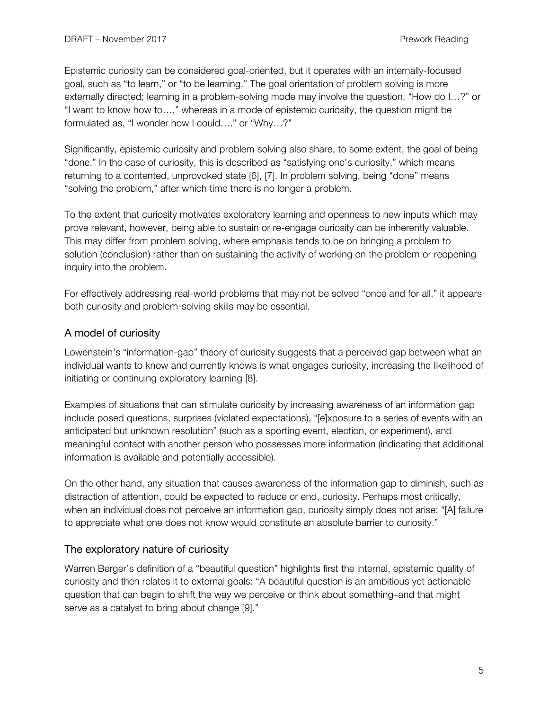Epistemic curiosity can be considered goal-oriented, but it operates with an internally-focused goal, such as "to learn," or "to be learning." The goal orientation of problem solving is more externally directed; learning in a problem-solving mode may involve the question, "How do I…?" or "I want to know how to…," whereas in a mode of epistemic curiosity, the question might be formulated as, "I wonder how I could…." or "Why…?"

Significantly, epistemic curiosity and problem solving also share, to some extent, the goal of being "done." In the case of curiosity, this is described as "satisfying one's curiosity," which means returning to a contented, unprovoked state [6], [7]. In problem solving, being "done" means "solving the problem," after which time there is no longer a problem.

To the extent that curiosity motivates exploratory learning and openness to new inputs which may prove relevant, however, being able to sustain or re-engage curiosity can be inherently valuable. This may differ from problem solving, where emphasis tends to be on bringing a problem to solution (conclusion) rather than on sustaining the activity of working on the problem or reopening inquiry into the problem.

For effectively addressing real-world problems that may not be solved "once and for all," it appears both curiosity and problem-solving skills may be essential.

### A model of curiosity

Lowenstein's "information-gap" theory of curiosity suggests that a perceived gap between what an individual wants to know and currently knows is what engages curiosity, increasing the likelihood of initiating or continuing exploratory learning [8].

Examples of situations that can stimulate curiosity by increasing awareness of an information gap include posed questions, surprises (violated expectations), "[e]xposure to a series of events with an anticipated but unknown resolution" (such as a sporting event, election, or experiment), and meaningful contact with another person who possesses more information (indicating that additional information is available and potentially accessible).

On the other hand, any situation that causes awareness of the information gap to diminish, such as distraction of attention, could be expected to reduce or end, curiosity. Perhaps most critically, when an individual does not perceive an information gap, curiosity simply does not arise: "[A] failure to appreciate what one does not know would constitute an absolute barrier to curiosity."

### The exploratory nature of curiosity

Warren Berger's definition of a "beautiful question" highlights first the internal, epistemic quality of curiosity and then relates it to external goals: "A beautiful question is an ambitious yet actionable question that can begin to shift the way we perceive or think about something–and that might serve as a catalyst to bring about change [9]."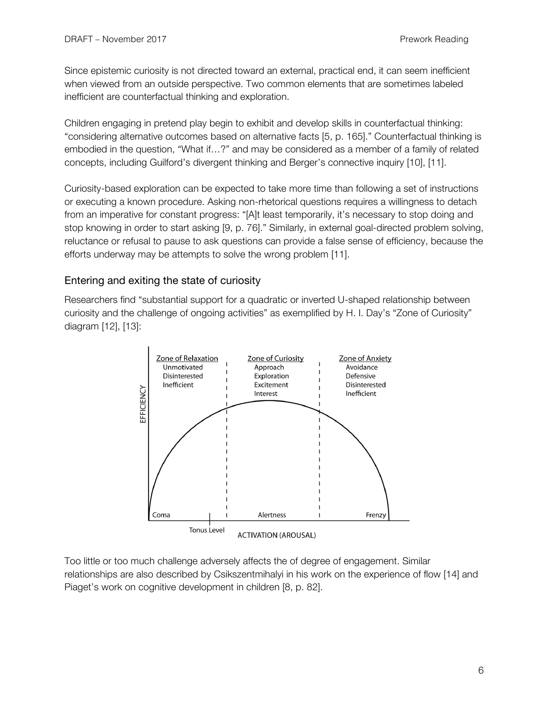Since epistemic curiosity is not directed toward an external, practical end, it can seem inefficient when viewed from an outside perspective. Two common elements that are sometimes labeled inefficient are counterfactual thinking and exploration.

Children engaging in pretend play begin to exhibit and develop skills in counterfactual thinking: "considering alternative outcomes based on alternative facts [5, p. 165]." Counterfactual thinking is embodied in the question, "What if…?" and may be considered as a member of a family of related concepts, including Guilford's divergent thinking and Berger's connective inquiry [10], [11].

Curiosity-based exploration can be expected to take more time than following a set of instructions or executing a known procedure. Asking non-rhetorical questions requires a willingness to detach from an imperative for constant progress: "[A]t least temporarily, it's necessary to stop doing and stop knowing in order to start asking [9, p. 76]." Similarly, in external goal-directed problem solving, reluctance or refusal to pause to ask questions can provide a false sense of efficiency, because the efforts underway may be attempts to solve the wrong problem [11].

#### Entering and exiting the state of curiosity

Researchers find "substantial support for a quadratic or inverted U-shaped relationship between curiosity and the challenge of ongoing activities" as exemplified by H. I. Day's "Zone of Curiosity" diagram [12], [13]:



Too little or too much challenge adversely affects the of degree of engagement. Similar relationships are also described by Csikszentmihalyi in his work on the experience of flow [14] and Piaget's work on cognitive development in children [8, p. 82].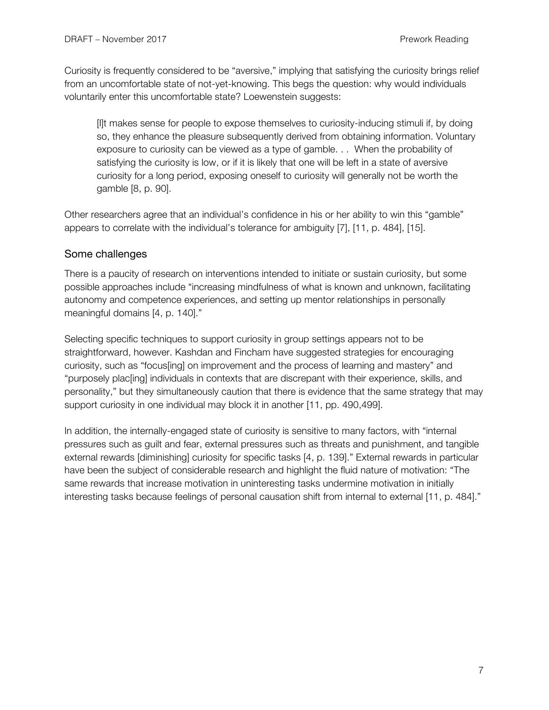Curiosity is frequently considered to be "aversive," implying that satisfying the curiosity brings relief from an uncomfortable state of not-yet-knowing. This begs the question: why would individuals voluntarily enter this uncomfortable state? Loewenstein suggests:

[I]t makes sense for people to expose themselves to curiosity-inducing stimuli if, by doing so, they enhance the pleasure subsequently derived from obtaining information. Voluntary exposure to curiosity can be viewed as a type of gamble. . . When the probability of satisfying the curiosity is low, or if it is likely that one will be left in a state of aversive curiosity for a long period, exposing oneself to curiosity will generally not be worth the gamble [8, p. 90].

Other researchers agree that an individual's confidence in his or her ability to win this "gamble" appears to correlate with the individual's tolerance for ambiguity [7], [11, p. 484], [15].

### Some challenges

There is a paucity of research on interventions intended to initiate or sustain curiosity, but some possible approaches include "increasing mindfulness of what is known and unknown, facilitating autonomy and competence experiences, and setting up mentor relationships in personally meaningful domains [4, p. 140]."

Selecting specific techniques to support curiosity in group settings appears not to be straightforward, however. Kashdan and Fincham have suggested strategies for encouraging curiosity, such as "focus[ing] on improvement and the process of learning and mastery" and "purposely plac[ing] individuals in contexts that are discrepant with their experience, skills, and personality," but they simultaneously caution that there is evidence that the same strategy that may support curiosity in one individual may block it in another [11, pp. 490,499].

In addition, the internally-engaged state of curiosity is sensitive to many factors, with "internal pressures such as guilt and fear, external pressures such as threats and punishment, and tangible external rewards [diminishing] curiosity for specific tasks [4, p. 139]." External rewards in particular have been the subject of considerable research and highlight the fluid nature of motivation: "The same rewards that increase motivation in uninteresting tasks undermine motivation in initially interesting tasks because feelings of personal causation shift from internal to external [11, p. 484]."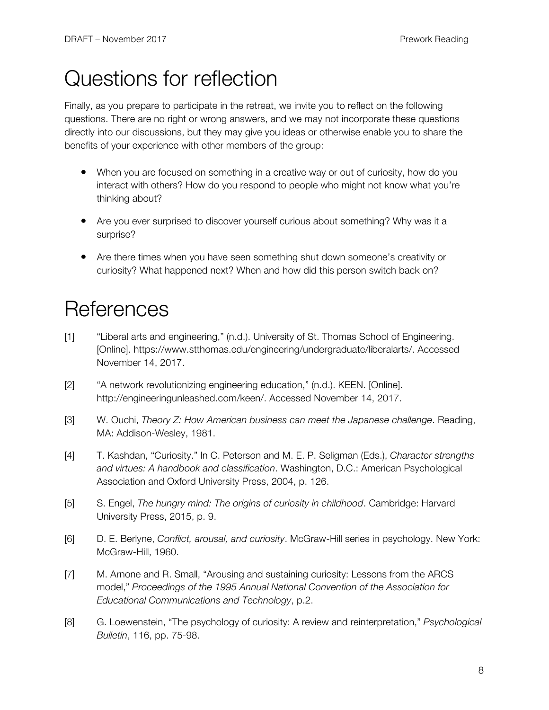## Questions for reflection

Finally, as you prepare to participate in the retreat, we invite you to reflect on the following questions. There are no right or wrong answers, and we may not incorporate these questions directly into our discussions, but they may give you ideas or otherwise enable you to share the benefits of your experience with other members of the group:

- When you are focused on something in a creative way or out of curiosity, how do you interact with others? How do you respond to people who might not know what you're thinking about?
- Are you ever surprised to discover yourself curious about something? Why was it a surprise?
- Are there times when you have seen something shut down someone's creativity or curiosity? What happened next? When and how did this person switch back on?

## **References**

- [1] "Liberal arts and engineering," (n.d.). University of St. Thomas School of Engineering. [Online]. https://www.stthomas.edu/engineering/undergraduate/liberalarts/. Accessed November 14, 2017.
- [2] "A network revolutionizing engineering education," (n.d.). KEEN. [Online]. http://engineeringunleashed.com/keen/. Accessed November 14, 2017.
- [3] W. Ouchi, *Theory Z: How American business can meet the Japanese challenge*. Reading, MA: Addison-Wesley, 1981.
- [4] T. Kashdan, "Curiosity." In C. Peterson and M. E. P. Seligman (Eds.), *Character strengths and virtues: A handbook and classification*. Washington, D.C.: American Psychological Association and Oxford University Press, 2004, p. 126.
- [5] S. Engel, *The hungry mind: The origins of curiosity in childhood*. Cambridge: Harvard University Press, 2015, p. 9.
- [6] D. E. Berlyne, *Conflict, arousal, and curiosity*. McGraw-Hill series in psychology. New York: McGraw-Hill, 1960.
- [7] M. Arnone and R. Small, "Arousing and sustaining curiosity: Lessons from the ARCS model," *Proceedings of the 1995 Annual National Convention of the Association for Educational Communications and Technology*, p.2.
- [8] G. Loewenstein, "The psychology of curiosity: A review and reinterpretation," *Psychological Bulletin*, 116, pp. 75-98.